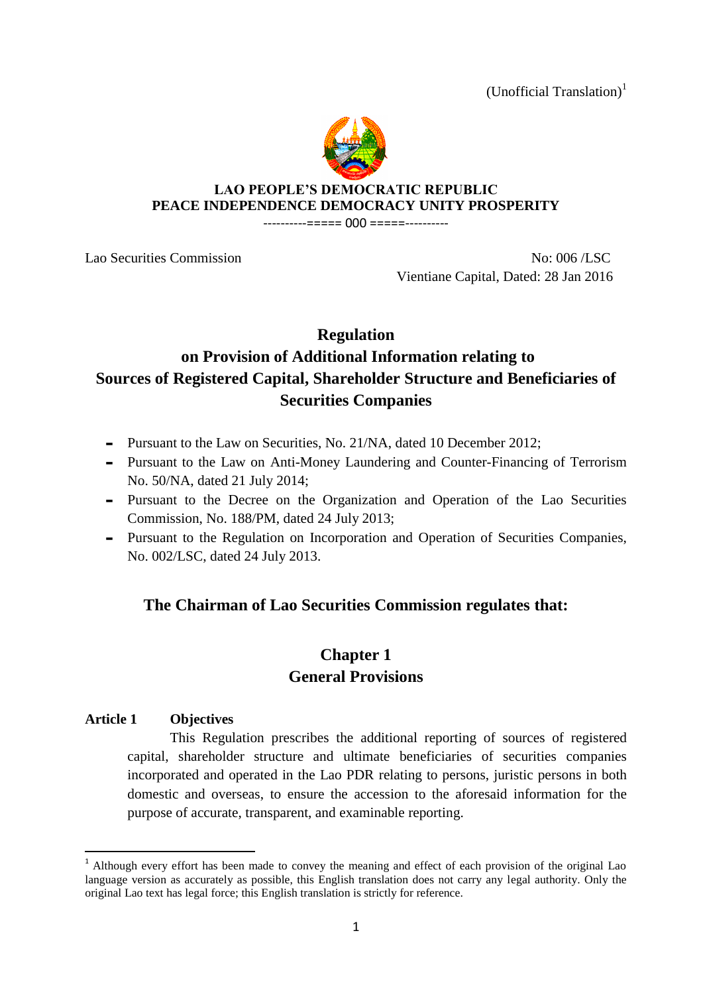(Unofficial Translation)<sup>1</sup>



### **LAO PEOPLE'S DEMOCRATIC REPUBLIC PEACE INDEPENDENCE DEMOCRACY UNITY PROSPERITY**

----------===== 000 =====----------

Lao Securities Commission No: 006 /LSC Vientiane Capital, Dated: 28 Jan 2016

## **Regulation**

# **on Provision of Additional Information relating to Sources of Registered Capital, Shareholder Structure and Beneficiaries of Securities Companies**

- Pursuant to the Law on Securities, No. 21/NA, dated 10 December 2012;
- Pursuant to the Law on Anti-Money Laundering and Counter-Financing of Terrorism No. 50/NA, dated 21 July 2014;
- Pursuant to the Decree on the Organization and Operation of the Lao Securities Commission, No. 188/PM, dated 24 July 2013;
- Pursuant to the Regulation on Incorporation and Operation of Securities Companies, No. 002/LSC, dated 24 July 2013.

# **The Chairman of Lao Securities Commission regulates that:**

# **Chapter 1 General Provisions**

### **Article 1 Objectives**

1

This Regulation prescribes the additional reporting of sources of registered capital, shareholder structure and ultimate beneficiaries of securities companies incorporated and operated in the Lao PDR relating to persons, juristic persons in both domestic and overseas, to ensure the accession to the aforesaid information for the purpose of accurate, transparent, and examinable reporting.

<sup>&</sup>lt;sup>1</sup> Although every effort has been made to convey the meaning and effect of each provision of the original Lao language version as accurately as possible, this English translation does not carry any legal authority. Only the original Lao text has legal force; this English translation is strictly for reference.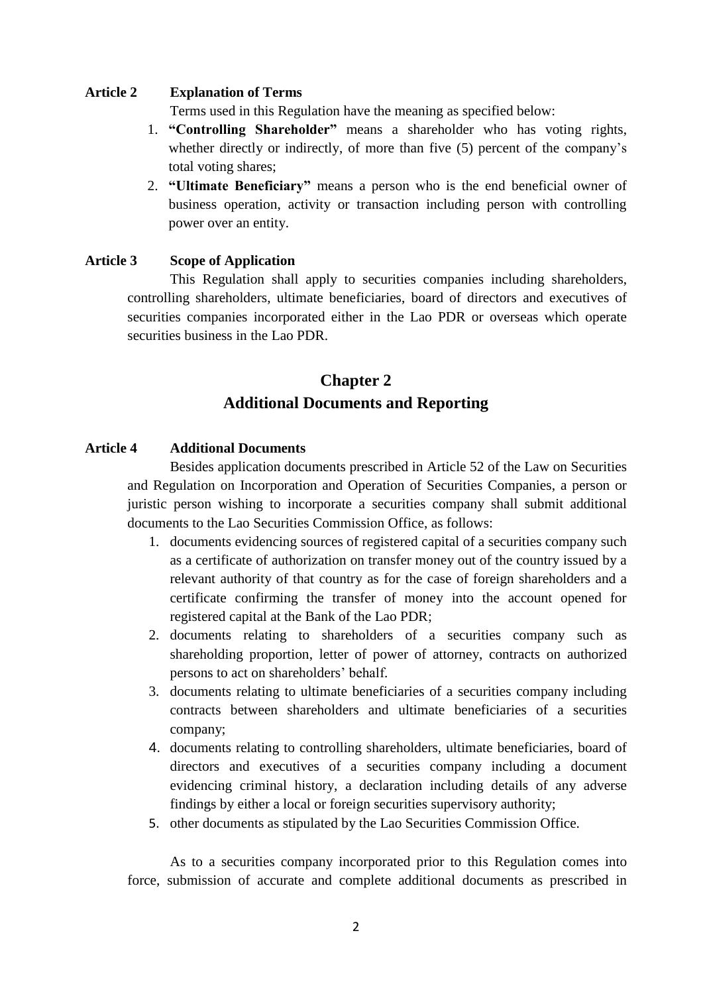#### **Article 2 Explanation of Terms**

Terms used in this Regulation have the meaning as specified below:

- 1. **"Controlling Shareholder"** means a shareholder who has voting rights, whether directly or indirectly, of more than five (5) percent of the company's total voting shares;
- 2. **"Ultimate Beneficiary"** means a person who is the end beneficial owner of business operation, activity or transaction including person with controlling power over an entity.

#### **Article 3 Scope of Application**

This Regulation shall apply to securities companies including shareholders, controlling shareholders, ultimate beneficiaries, board of directors and executives of securities companies incorporated either in the Lao PDR or overseas which operate securities business in the Lao PDR

# **Chapter 2 Additional Documents and Reporting**

#### **Article 4 Additional Documents**

Besides application documents prescribed in Article 52 of the Law on Securities and Regulation on Incorporation and Operation of Securities Companies, a person or juristic person wishing to incorporate a securities company shall submit additional documents to the Lao Securities Commission Office, as follows:

- 1. documents evidencing sources of registered capital of a securities company such as a certificate of authorization on transfer money out of the country issued by a relevant authority of that country as for the case of foreign shareholders and a certificate confirming the transfer of money into the account opened for registered capital at the Bank of the Lao PDR;
- 2. documents relating to shareholders of a securities company such as shareholding proportion, letter of power of attorney, contracts on authorized persons to act on shareholders' behalf.
- 3. documents relating to ultimate beneficiaries of a securities company including contracts between shareholders and ultimate beneficiaries of a securities company;
- 4. documents relating to controlling shareholders, ultimate beneficiaries, board of directors and executives of a securities company including a document evidencing criminal history, a declaration including details of any adverse findings by either a local or foreign securities supervisory authority;
- 5. other documents as stipulated by the Lao Securities Commission Office.

As to a securities company incorporated prior to this Regulation comes into force, submission of accurate and complete additional documents as prescribed in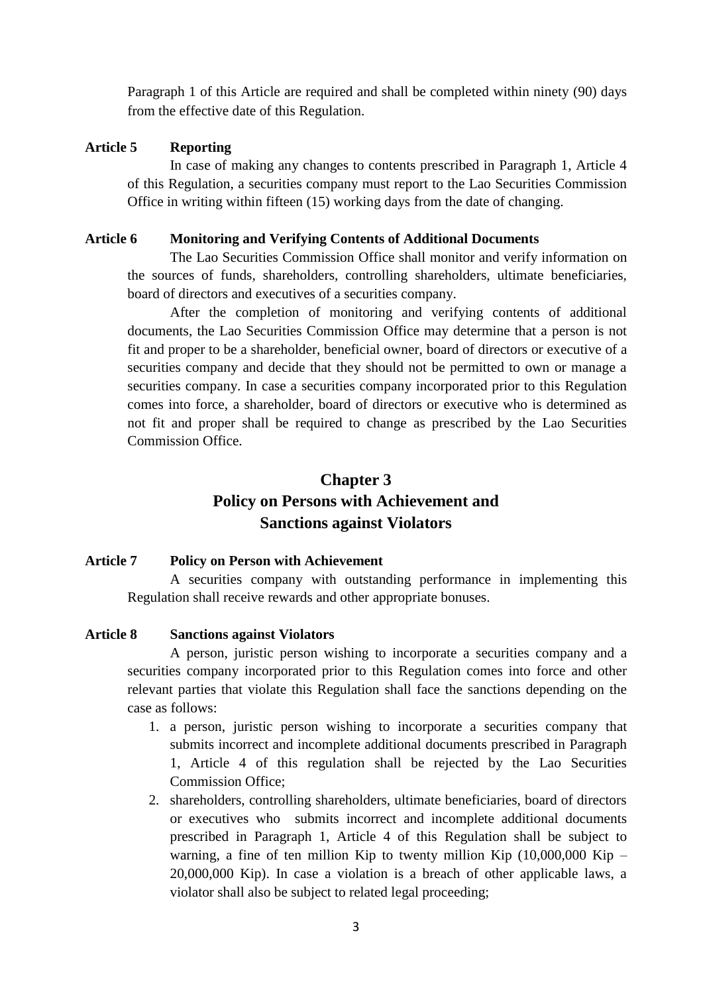Paragraph 1 of this Article are required and shall be completed within ninety (90) days from the effective date of this Regulation.

#### **Article 5 Reporting**

In case of making any changes to contents prescribed in Paragraph 1, Article 4 of this Regulation, a securities company must report to the Lao Securities Commission Office in writing within fifteen (15) working days from the date of changing.

#### **Article 6 Monitoring and Verifying Contents of Additional Documents**

The Lao Securities Commission Office shall monitor and verify information on the sources of funds, shareholders, controlling shareholders, ultimate beneficiaries, board of directors and executives of a securities company.

After the completion of monitoring and verifying contents of additional documents, the Lao Securities Commission Office may determine that a person is not fit and proper to be a shareholder, beneficial owner, board of directors or executive of a securities company and decide that they should not be permitted to own or manage a securities company. In case a securities company incorporated prior to this Regulation comes into force, a shareholder, board of directors or executive who is determined as not fit and proper shall be required to change as prescribed by the Lao Securities Commission Office.

# **Chapter 3 Policy on Persons with Achievement and Sanctions against Violators**

#### **Article 7 Policy on Person with Achievement**

A securities company with outstanding performance in implementing this Regulation shall receive rewards and other appropriate bonuses.

#### **Article 8 Sanctions against Violators**

A person, juristic person wishing to incorporate a securities company and a securities company incorporated prior to this Regulation comes into force and other relevant parties that violate this Regulation shall face the sanctions depending on the case as follows:

- 1. a person, juristic person wishing to incorporate a securities company that submits incorrect and incomplete additional documents prescribed in Paragraph 1, Article 4 of this regulation shall be rejected by the Lao Securities Commission Office;
- 2. shareholders, controlling shareholders, ultimate beneficiaries, board of directors or executives who submits incorrect and incomplete additional documents prescribed in Paragraph 1, Article 4 of this Regulation shall be subject to warning, a fine of ten million Kip to twenty million Kip  $(10,000,000 \text{ Kip} -$ 20,000,000 Kip). In case a violation is a breach of other applicable laws, a violator shall also be subject to related legal proceeding;